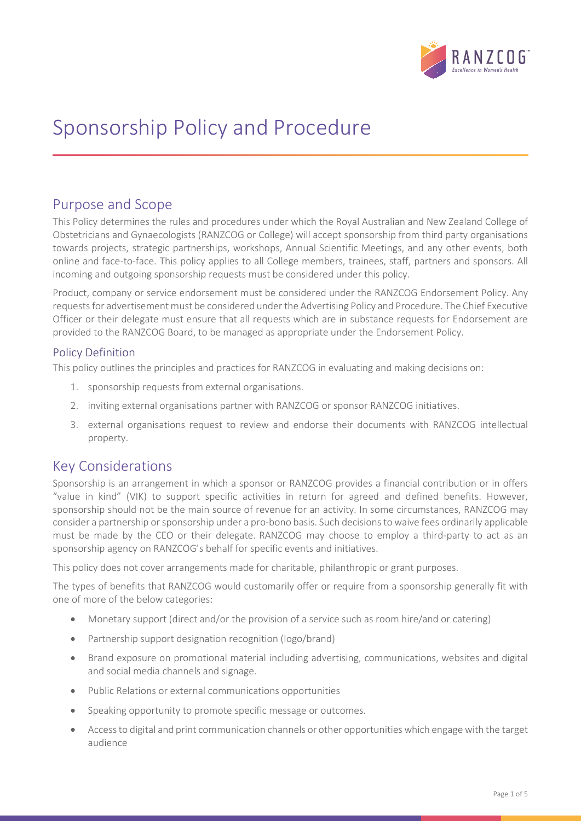

# Sponsorship Policy and Procedure

# Purpose and Scope

This Policy determines the rules and procedures under which the Royal Australian and New Zealand College of Obstetricians and Gynaecologists (RANZCOG or College) will accept sponsorship from third party organisations towards projects, strategic partnerships, workshops, Annual Scientific Meetings, and any other events, both online and face-to-face. This policy applies to all College members, trainees, staff, partners and sponsors. All incoming and outgoing sponsorship requests must be considered under this policy.

Product, company or service endorsement must be considered under the RANZCOG Endorsement Policy. Any requests for advertisement must be considered under the Advertising Policy and Procedure. The Chief Executive Officer or their delegate must ensure that all requests which are in substance requests for Endorsement are provided to the RANZCOG Board, to be managed as appropriate under the Endorsement Policy.

### Policy Definition

This policy outlines the principles and practices for RANZCOG in evaluating and making decisions on:

- 1. sponsorship requests from external organisations.
- 2. inviting external organisations partner with RANZCOG or sponsor RANZCOG initiatives.
- 3. external organisations request to review and endorse their documents with RANZCOG intellectual property.

# Key Considerations

Sponsorship is an arrangement in which a sponsor or RANZCOG provides a financial contribution or in offers "value in kind" (VIK) to support specific activities in return for agreed and defined benefits. However, sponsorship should not be the main source of revenue for an activity. In some circumstances, RANZCOG may consider a partnership or sponsorship under a pro-bono basis. Such decisions to waive fees ordinarily applicable must be made by the CEO or their delegate. RANZCOG may choose to employ a third-party to act as an sponsorship agency on RANZCOG's behalf for specific events and initiatives.

This policy does not cover arrangements made for charitable, philanthropic or grant purposes.

The types of benefits that RANZCOG would customarily offer or require from a sponsorship generally fit with one of more of the below categories:

- Monetary support (direct and/or the provision of a service such as room hire/and or catering)
- Partnership support designation recognition (logo/brand)
- Brand exposure on promotional material including advertising, communications, websites and digital and social media channels and signage.
- Public Relations or external communications opportunities
- Speaking opportunity to promote specific message or outcomes.
- Access to digital and print communication channels or other opportunities which engage with the target audience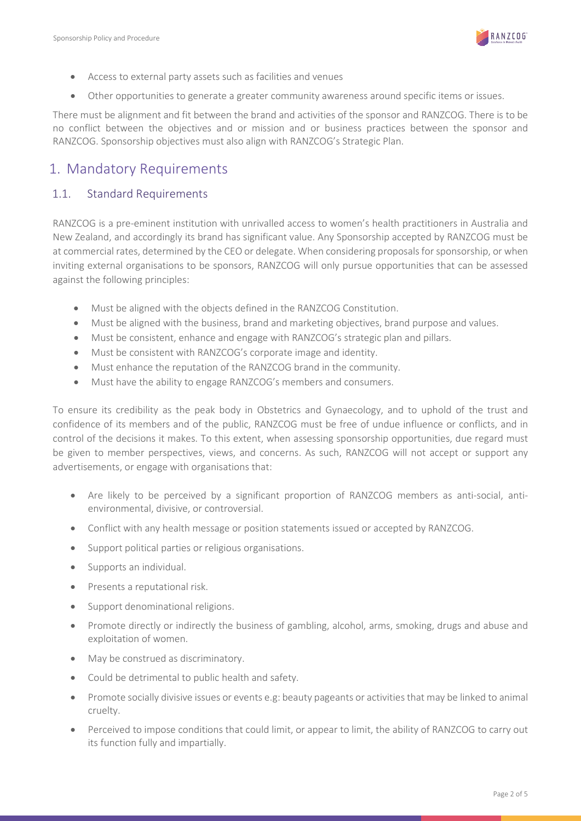

- Access to external party assets such as facilities and venues
- Other opportunities to generate a greater community awareness around specific items or issues.

There must be alignment and fit between the brand and activities of the sponsor and RANZCOG. There is to be no conflict between the objectives and or mission and or business practices between the sponsor and RANZCOG. Sponsorship objectives must also align with RANZCOG's Strategic Plan.

# 1. Mandatory Requirements

### 1.1. Standard Requirements

RANZCOG is a pre-eminent institution with unrivalled access to women's health practitioners in Australia and New Zealand, and accordingly its brand has significant value. Any Sponsorship accepted by RANZCOG must be at commercial rates, determined by the CEO or delegate. When considering proposals for sponsorship, or when inviting external organisations to be sponsors, RANZCOG will only pursue opportunities that can be assessed against the following principles:

- Must be aligned with the objects defined in the RANZCOG Constitution.
- Must be aligned with the business, brand and marketing objectives, brand purpose and values.
- Must be consistent, enhance and engage with RANZCOG's strategic plan and pillars.
- Must be consistent with RANZCOG's corporate image and identity.
- Must enhance the reputation of the RANZCOG brand in the community.
- Must have the ability to engage RANZCOG's members and consumers.

To ensure its credibility as the peak body in Obstetrics and Gynaecology, and to uphold of the trust and confidence of its members and of the public, RANZCOG must be free of undue influence or conflicts, and in control of the decisions it makes. To this extent, when assessing sponsorship opportunities, due regard must be given to member perspectives, views, and concerns. As such, RANZCOG will not accept or support any advertisements, or engage with organisations that:

- Are likely to be perceived by a significant proportion of RANZCOG members as anti-social, antienvironmental, divisive, or controversial.
- Conflict with any health message or position statements issued or accepted by RANZCOG.
- Support political parties or religious organisations.
- Supports an individual.
- Presents a reputational risk.
- Support denominational religions.
- Promote directly or indirectly the business of gambling, alcohol, arms, smoking, drugs and abuse and exploitation of women.
- May be construed as discriminatory.
- Could be detrimental to public health and safety.
- Promote socially divisive issues or events e.g: beauty pageants or activities that may be linked to animal cruelty.
- Perceived to impose conditions that could limit, or appear to limit, the ability of RANZCOG to carry out its function fully and impartially.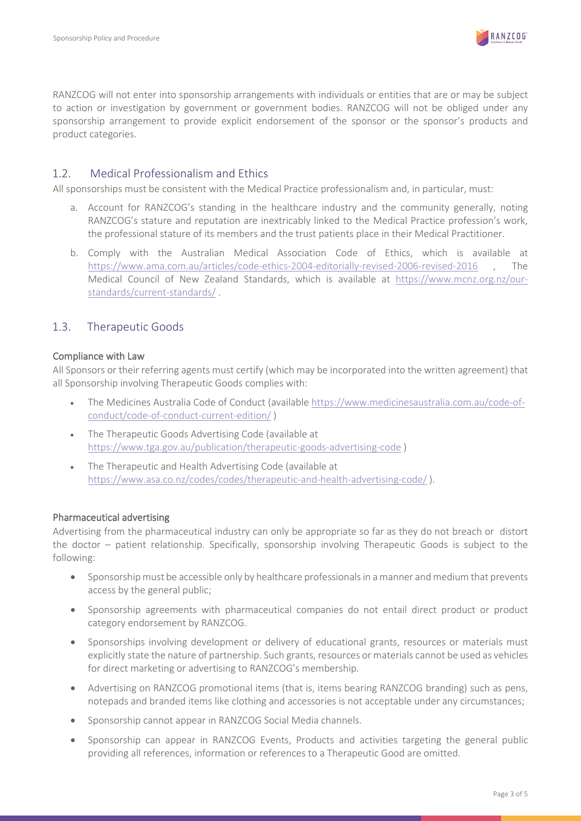

RANZCOG will not enter into sponsorship arrangements with individuals or entities that are or may be subject to action or investigation by government or government bodies. RANZCOG will not be obliged under any sponsorship arrangement to provide explicit endorsement of the sponsor or the sponsor's products and product categories.

### 1.2. Medical Professionalism and Ethics

All sponsorships must be consistent with the Medical Practice professionalism and, in particular, must:

- a. Account for RANZCOG's standing in the healthcare industry and the community generally, noting RANZCOG's stature and reputation are inextricably linked to the Medical Practice profession's work, the professional stature of its members and the trust patients place in their Medical Practitioner.
- b. Comply with the Australian Medical Association Code of Ethics, which is available at <https://www.ama.com.au/articles/code-ethics-2004-editorially-revised-2006-revised-2016> , The Medical Council of New Zealand Standards, which is available at [https://www.mcnz.org.nz/our](https://www.mcnz.org.nz/our-standards/current-standards/)[standards/current-standards/](https://www.mcnz.org.nz/our-standards/current-standards/) .

#### 1.3. Therapeutic Goods

#### Compliance with Law

All Sponsors or their referring agents must certify (which may be incorporated into the written agreement) that all Sponsorship involving Therapeutic Goods complies with:

- The Medicines Australia Code of Conduct (available [https://www.medicinesaustralia.com.au/code-of](https://www.medicinesaustralia.com.au/code-of-conduct/code-of-conduct-current-edition/)[conduct/code-of-conduct-current-edition/](https://www.medicinesaustralia.com.au/code-of-conduct/code-of-conduct-current-edition/) )
- The Therapeutic Goods Advertising Code (available at <https://www.tga.gov.au/publication/therapeutic-goods-advertising-code> )
- The Therapeutic and Health Advertising Code (available at <https://www.asa.co.nz/codes/codes/therapeutic-and-health-advertising-code/> ).

#### Pharmaceutical advertising

Advertising from the pharmaceutical industry can only be appropriate so far as they do not breach or distort the doctor – patient relationship. Specifically, sponsorship involving Therapeutic Goods is subject to the following:

- Sponsorship must be accessible only by healthcare professionals in a manner and medium that prevents access by the general public;
- Sponsorship agreements with pharmaceutical companies do not entail direct product or product category endorsement by RANZCOG.
- Sponsorships involving development or delivery of educational grants, resources or materials must explicitly state the nature of partnership. Such grants, resources or materials cannot be used as vehicles for direct marketing or advertising to RANZCOG's membership.
- Advertising on RANZCOG promotional items (that is, items bearing RANZCOG branding) such as pens, notepads and branded items like clothing and accessories is not acceptable under any circumstances;
- Sponsorship cannot appear in RANZCOG Social Media channels.
- Sponsorship can appear in RANZCOG Events, Products and activities targeting the general public providing all references, information or references to a Therapeutic Good are omitted.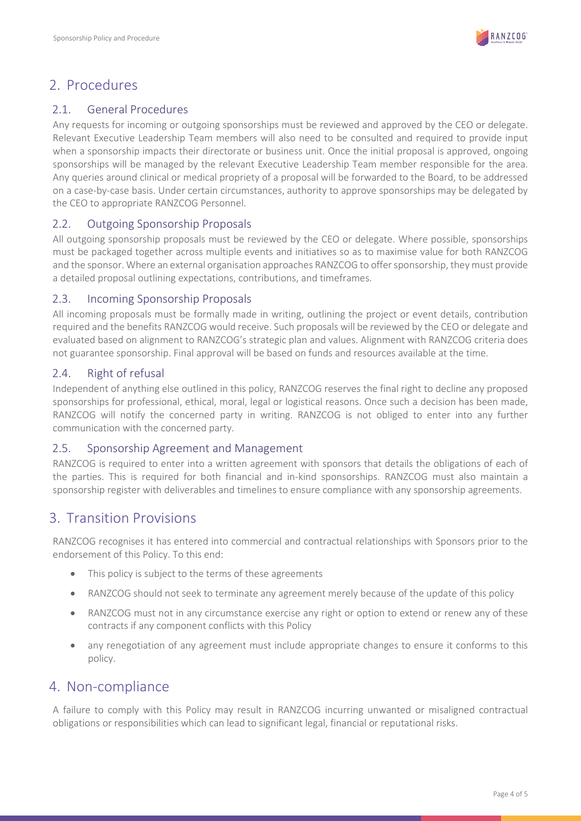

# 2. Procedures

### 2.1. General Procedures

Any requests for incoming or outgoing sponsorships must be reviewed and approved by the CEO or delegate. Relevant Executive Leadership Team members will also need to be consulted and required to provide input when a sponsorship impacts their directorate or business unit. Once the initial proposal is approved, ongoing sponsorships will be managed by the relevant Executive Leadership Team member responsible for the area. Any queries around clinical or medical propriety of a proposal will be forwarded to the Board, to be addressed on a case-by-case basis. Under certain circumstances, authority to approve sponsorships may be delegated by the CEO to appropriate RANZCOG Personnel.

### 2.2. Outgoing Sponsorship Proposals

All outgoing sponsorship proposals must be reviewed by the CEO or delegate. Where possible, sponsorships must be packaged together across multiple events and initiatives so as to maximise value for both RANZCOG and the sponsor. Where an external organisation approaches RANZCOG to offer sponsorship, they must provide a detailed proposal outlining expectations, contributions, and timeframes.

### 2.3. Incoming Sponsorship Proposals

All incoming proposals must be formally made in writing, outlining the project or event details, contribution required and the benefits RANZCOG would receive. Such proposals will be reviewed by the CEO or delegate and evaluated based on alignment to RANZCOG's strategic plan and values. Alignment with RANZCOG criteria does not guarantee sponsorship. Final approval will be based on funds and resources available at the time.

### 2.4. Right of refusal

Independent of anything else outlined in this policy, RANZCOG reserves the final right to decline any proposed sponsorships for professional, ethical, moral, legal or logistical reasons. Once such a decision has been made, RANZCOG will notify the concerned party in writing. RANZCOG is not obliged to enter into any further communication with the concerned party.

### 2.5. Sponsorship Agreement and Management

RANZCOG is required to enter into a written agreement with sponsors that details the obligations of each of the parties. This is required for both financial and in-kind sponsorships. RANZCOG must also maintain a sponsorship register with deliverables and timelines to ensure compliance with any sponsorship agreements.

# 3. Transition Provisions

RANZCOG recognises it has entered into commercial and contractual relationships with Sponsors prior to the endorsement of this Policy. To this end:

- This policy is subject to the terms of these agreements
- RANZCOG should not seek to terminate any agreement merely because of the update of this policy
- RANZCOG must not in any circumstance exercise any right or option to extend or renew any of these contracts if any component conflicts with this Policy
- any renegotiation of any agreement must include appropriate changes to ensure it conforms to this policy.

# 4. Non-compliance

A failure to comply with this Policy may result in RANZCOG incurring unwanted or misaligned contractual obligations or responsibilities which can lead to significant legal, financial or reputational risks.